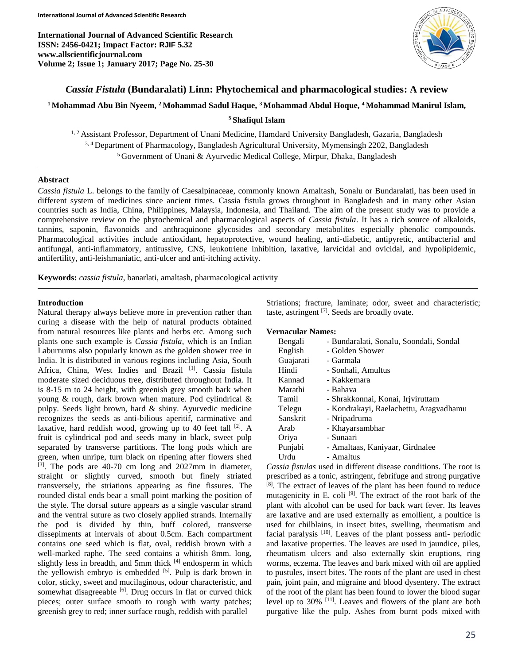**International Journal of Advanced Scientific Research ISSN: 2456-0421; Impact Factor: RJIF 5.32 www.allscientificjournal.com Volume 2; Issue 1; January 2017; Page No. 25-30**



# *Cassia Fistula* **(Bundaralati) Linn: Phytochemical and pharmacological studies: A review**

# **<sup>1</sup>Mohammad Abu Bin Nyeem, <sup>2</sup>Mohammad Sadul Haque, <sup>3</sup>Mohammad Abdul Hoque, <sup>4</sup>Mohammad Manirul Islam,**

### **<sup>5</sup> Shafiqul Islam**

<sup>1, 2</sup> Assistant Professor, Department of Unani Medicine, Hamdard University Bangladesh, Gazaria, Bangladesh 3, 4 Department of Pharmacology, Bangladesh Agricultural University, Mymensingh 2202, Bangladesh <sup>5</sup> Government of Unani & Ayurvedic Medical College, Mirpur, Dhaka, Bangladesh

## **Abstract**

*Cassia fistula* L. belongs to the family of Caesalpinaceae, commonly known Amaltash, Sonalu or Bundaralati, has been used in different system of medicines since ancient times. Cassia fistula grows throughout in Bangladesh and in many other Asian countries such as India, China, Philippines, Malaysia, Indonesia, and Thailand. The aim of the present study was to provide a comprehensive review on the phytochemical and pharmacological aspects of *Cassia fistula*. It has a rich source of alkaloids, tannins, saponin, flavonoids and anthraquinone glycosides and secondary metabolites especially phenolic compounds. Pharmacological activities include antioxidant, hepatoprotective, wound healing, anti-diabetic, antipyretic, antibacterial and antifungal, anti-inflammatory, antitussive, CNS, leukotriene inhibition, laxative, larvicidal and ovicidal, and hypolipidemic, antifertility, anti-leishmaniatic, anti-ulcer and anti-itching activity.

**Keywords:** *cassia fistula*, banarlati, amaltash, pharmacological activity

### **Introduction**

Natural therapy always believe more in prevention rather than curing a disease with the help of natural products obtained from natural resources like plants and herbs etc. Among such plants one such example is *Cassia fistula*, which is an Indian Laburnums also popularly known as the golden shower tree in India. It is distributed in various regions including Asia, South Africa, China, West Indies and Brazil [1]. Cassia fistula moderate sized deciduous tree, distributed throughout India. It is 8-15 m to 24 height, with greenish grey smooth bark when young & rough, dark brown when mature. Pod cylindrical & pulpy. Seeds light brown, hard & shiny. Ayurvedic medicine recognizes the seeds as anti-bilious aperitif, carminative and laxative, hard reddish wood, growing up to 40 feet tall  $[2]$ . A fruit is cylindrical pod and seeds many in black, sweet pulp separated by transverse partitions. The long pods which are green, when unripe, turn black on ripening after flowers shed [3]. The pods are 40-70 cm long and 2027mm in diameter, straight or slightly curved, smooth but finely striated transversely, the striations appearing as fine fissures. The rounded distal ends bear a small point marking the position of the style. The dorsal suture appears as a single vascular strand and the ventral suture as two closely applied strands. Internally the pod is divided by thin, buff colored, transverse dissepiments at intervals of about 0.5cm. Each compartment contains one seed which is flat, oval, reddish brown with a well-marked raphe. The seed contains a whitish 8mm. long, slightly less in breadth, and 5mm thick  $[4]$  endosperm in which the yellowish embryo is embedded [5]. Pulp is dark brown in color, sticky, sweet and mucilaginous, odour characteristic, and somewhat disagreeable  $[6]$ . Drug occurs in flat or curved thick pieces; outer surface smooth to rough with warty patches; greenish grey to red; inner surface rough, reddish with parallel

Striations; fracture, laminate; odor, sweet and characteristic; taste, astringent [7]. Seeds are broadly ovate.

#### **Vernacular Names:**

| Bengali   | - Bundaralati, Sonalu, Soondali, Sondal |
|-----------|-----------------------------------------|
| English   | - Golden Shower                         |
| Guajarati | - Garmala                               |
| Hindi     | - Sonhali, Amultus                      |
| Kannad    | - Kakkemara                             |
| Marathi   | - Bahava                                |
| Tamil     | - Shrakkonnai, Konai, Irjviruttam       |
| Telegu    | - Kondrakayi, Raelachettu, Aragyadhamu  |
| Sanskrit  | - Nripadruma                            |
| Arab      | - Khayarsambhar                         |
| Oriya     | - Sunaari                               |
| Punjabi   | - Amaltaas, Kaniyaar, Girdnalee         |
| Urdu      | - Amaltus                               |

*Cassia fistulas* used in different disease conditions. The root is prescribed as a tonic, astringent, febrifuge and strong purgative [8] . The extract of leaves of the plant has been found to reduce mutagenicity in E. coli<sup>[9]</sup>. The extract of the root bark of the plant with alcohol can be used for back wart fever. Its leaves are laxative and are used externally as emollient, a poultice is used for chilblains, in insect bites, swelling, rheumatism and facial paralysis [10]. Leaves of the plant possess anti- periodic and laxative properties. The leaves are used in jaundice, piles, rheumatism ulcers and also externally skin eruptions, ring worms, eczema. The leaves and bark mixed with oil are applied to pustules, insect bites. The roots of the plant are used in chest pain, joint pain, and migraine and blood dysentery. The extract of the root of the plant has been found to lower the blood sugar level up to 30% [11]. Leaves and flowers of the plant are both purgative like the pulp. Ashes from burnt pods mixed with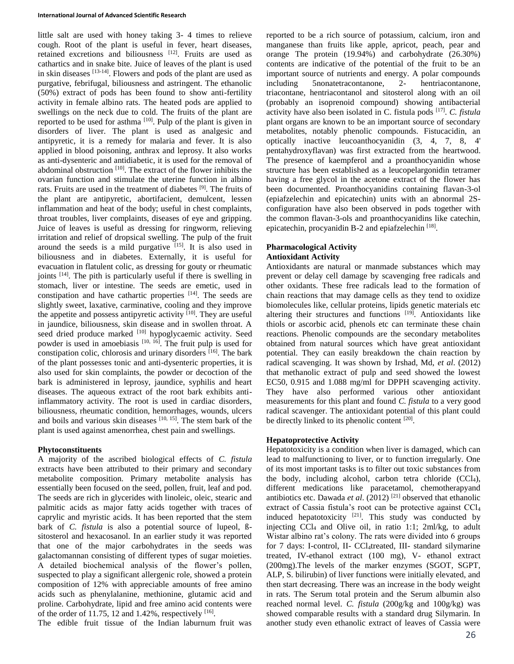### **International Journal of Advanced Scientific Research**

little salt are used with honey taking 3- 4 times to relieve cough. Root of the plant is useful in fever, heart diseases, retained excretions and biliousness [12]. Fruits are used as cathartics and in snake bite. Juice of leaves of the plant is used in skin diseases [13-14]. Flowers and pods of the plant are used as purgative, febrifugal, biliousness and astringent. The ethanolic (50%) extract of pods has been found to show anti-fertility activity in female albino rats. The heated pods are applied to swellings on the neck due to cold. The fruits of the plant are reported to be used for asthma  $[10]$ . Pulp of the plant is given in disorders of liver. The plant is used as analgesic and antipyretic, it is a remedy for malaria and fever. It is also applied in blood poisoning, anthrax and leprosy. It also works as anti-dysenteric and antidiabetic, it is used for the removal of abdominal obstruction [10]. The extract of the flower inhibits the ovarian function and stimulate the uterine function in albino rats. Fruits are used in the treatment of diabetes <sup>[9]</sup>. The fruits of the plant are antipyretic, abortifacient, demulcent, lessen inflammation and heat of the body; useful in chest complaints, throat troubles, liver complaints, diseases of eye and gripping. Juice of leaves is useful as dressing for ringworm, relieving irritation and relief of dropsical swelling. The pulp of the fruit around the seeds is a mild purgative  $[15]$ . It is also used in biliousness and in diabetes. Externally, it is useful for evacuation in flatulent colic, as dressing for gouty or rheumatic joints [14] . The pith is particularly useful if there is swelling in stomach, liver or intestine. The seeds are emetic, used in constipation and have cathartic properties [14] . The seeds are slightly sweet, laxative, carminative, cooling and they improve the appetite and possess antipyretic activity <sup>[10]</sup>. They are useful in jaundice, biliousness, skin disease and in swollen throat. A seed dried produce marked [10] hypoglycaemic activity. Seed powder is used in amoebiasis [10, 16]. The fruit pulp is used for constipation colic, chlorosis and urinary disorders <sup>[16]</sup>. The bark of the plant possesses tonic and anti-dysenteric properties, it is also used for skin complaints, the powder or decoction of the bark is administered in leprosy, jaundice, syphilis and heart diseases. The aqueous extract of the root bark exhibits antiinflammatory activity. The root is used in cardiac disorders, biliousness, rheumatic condition, hemorrhages, wounds, ulcers and boils and various skin diseases [10, 15]. The stem bark of the plant is used against amenorrhea, chest pain and swellings.

### **Phytoconstituents**

A majority of the ascribed biological effects of *C. fistula* extracts have been attributed to their primary and secondary metabolite composition. Primary metabolite analysis has essentially been focused on the seed, pollen, fruit, leaf and pod. The seeds are rich in glycerides with linoleic, oleic, stearic and palmitic acids as major fatty acids together with traces of caprylic and myristic acids. It has been reported that the stem bark of *C. fistula* is also a potential source of lupeol, Bsitosterol and hexacosanol. In an earlier study it was reported that one of the major carbohydrates in the seeds was galactomannan consisting of different types of sugar moieties. A detailed biochemical analysis of the flower's pollen, suspected to play a significant allergenic role, showed a protein composition of 12% with appreciable amounts of free amino acids such as phenylalanine, methionine, glutamic acid and proline. Carbohydrate, lipid and free amino acid contents were of the order of 11.75, 12 and 1.42%, respectively  $[16]$ .

The edible fruit tissue of the Indian laburnum fruit was

reported to be a rich source of potassium, calcium, iron and manganese than fruits like apple, apricot, peach, pear and orange The protein (19.94%) and carbohydrate (26.30%) contents are indicative of the potential of the fruit to be an important source of nutrients and energy. A polar compounds including 5nonatetracontanone, 2- hentriacontanone, triacontane, hentriacontanol and sitosterol along with an oil (probably an isoprenoid compound) showing antibacterial activity have also been isolated in C. fistula pods [17] . *C. fistula* plant organs are known to be an important source of secondary metabolites, notably phenolic compounds. Fistucacidin, an optically inactive leucoanthocyanidin (3, 4, 7, 8, 4' pentahydroxyflavan) was first extracted from the heartwood. The presence of kaempferol and a proanthocyanidin whose structure has been established as a leucopelargonidin tetramer having a free glycol in the acetone extract of the flower has been documented. Proanthocyanidins containing flavan-3-ol (epiafzelechin and epicatechin) units with an abnormal 2Sconfiguration have also been observed in pods together with the common flavan-3-ols and proanthocyanidins like catechin, epicatechin, procyanidin B-2 and epiafzelechin [18].

### **Pharmacological Activity Antioxidant Activity**

Antioxidants are natural or manmade substances which may prevent or delay cell damage by scavenging free radicals and other oxidants. These free radicals lead to the formation of chain reactions that may damage cells as they tend to oxidize biomolecules like, cellular proteins, lipids genetic materials etc altering their structures and functions [19]. Antioxidants like thiols or ascorbic acid, phenols etc can terminate these chain reactions. Phenolic compounds are the secondary metabolites obtained from natural sources which have great antioxidant potential. They can easily breakdown the chain reaction by radical scavenging. It was shown by Irshad, Md, *et al*. (2012) that methanolic extract of pulp and seed showed the lowest EC50, 0.915 and 1.088 mg/ml for DPPH scavenging activity. They have also performed various other antioxidant measurements for this plant and found *C. fistula* to a very good radical scavenger. The antioxidant potential of this plant could be directly linked to its phenolic content  $[20]$ .

### **Hepatoprotective Activity**

Hepatotoxicity is a condition when liver is damaged, which can lead to malfunctioning to liver, or to function irregularly. One of its most important tasks is to filter out toxic substances from the body, including alcohol, carbon tetra chloride (CCl<sub>4</sub>), different medications like paracetamol, chemotherapyand antibiotics etc. Dawada *et al*. (2012) [21] observed that ethanolic extract of Cassia fistula's root can be protective against CCl<sup>4</sup> induced hepatotoxicity  $[21]$ . This study was conducted by injecting  $CCl_4$  and Olive oil, in ratio 1:1; 2ml/kg, to adult Wistar albino rat's colony. The rats were divided into 6 groups for 7 days: I-control, II- CCl4treated, III- standard silymarine treated, IV-ethanol extract (100 mg), V- ethanol extract (200mg).The levels of the marker enzymes (SGOT, SGPT, ALP, S. bilirubin) of liver functions were initially elevated, and then start decreasing. There was an increase in the body weight in rats. The Serum total protein and the Serum albumin also reached normal level. *C. fistula* (200g/kg and 100g/kg) was showed comparable results with a standard drug Silymarin. In another study even ethanolic extract of leaves of Cassia were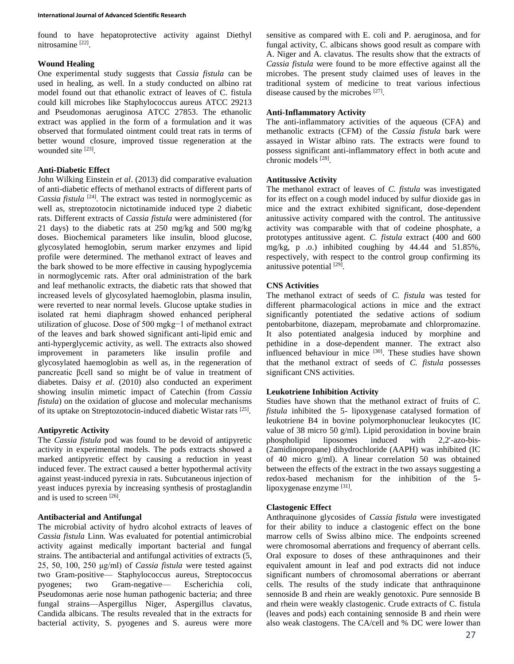found to have hepatoprotective activity against Diethyl nitrosamine [22].

# **Wound Healing**

One experimental study suggests that *Cassia fistula* can be used in healing, as well. In a study conducted on albino rat model found out that ethanolic extract of leaves of C. fistula could kill microbes like Staphylococcus aureus ATCC 29213 and Pseudomonas aeruginosa ATCC 27853. The ethanolic extract was applied in the form of a formulation and it was observed that formulated ointment could treat rats in terms of better wound closure, improved tissue regeneration at the wounded site [23].

## **Anti-Diabetic Effect**

John Wilking Einstein *et al*. (2013) did comparative evaluation of anti-diabetic effects of methanol extracts of different parts of Cassia fistula<sup>[24]</sup>. The extract was tested in normoglycemic as well as, streptozotocin nictotinamide induced type 2 diabetic rats. Different extracts of *Cassia fistula* were administered (for 21 days) to the diabetic rats at 250 mg/kg and 500 mg/kg doses. Biochemical parameters like insulin, blood glucose, glycosylated hemoglobin, serum marker enzymes and lipid profile were determined. The methanol extract of leaves and the bark showed to be more effective in causing hypoglycemia in normoglycemic rats. After oral administration of the bark and leaf methanolic extracts, the diabetic rats that showed that increased levels of glycosylated haemoglobin, plasma insulin, were reverted to near normal levels. Glucose uptake studies in isolated rat hemi diaphragm showed enhanced peripheral utilization of glucose. Dose of 500 mgkg−1 of methanol extract of the leaves and bark showed significant anti-lipid emic and anti-hyperglycemic activity, as well. The extracts also showed improvement in parameters like insulin profile and glycosylated haemoglobin as well as, in the regeneration of pancreatic βcell sand so might be of value in treatment of diabetes. Daisy *et al*. (2010) also conducted an experiment showing insulin mimetic impact of Catechin (from *Cassia fistula*) on the oxidation of glucose and molecular mechanisms of its uptake on Streptozotocin-induced diabetic Wistar rats [25].

# **Antipyretic Activity**

The *Cassia fistula* pod was found to be devoid of antipyretic activity in experimental models. The pods extracts showed a marked antipyretic effect by causing a reduction in yeast induced fever. The extract caused a better hypothermal activity against yeast-induced pyrexia in rats. Subcutaneous injection of yeast induces pyrexia by increasing synthesis of prostaglandin and is used to screen [26].

# **Antibacterial and Antifungal**

The microbial activity of hydro alcohol extracts of leaves of *Cassia fistula* Linn. Was evaluated for potential antimicrobial activity against medically important bacterial and fungal strains. The antibacterial and antifungal activities of extracts (5, 25, 50, 100, 250 μg/ml) of *Cassia fistula* were tested against two Gram-positive— Staphylococcus aureus, Streptococcus pyogenes; two Gram-negative— Escherichia coli, Pseudomonas aerie nose human pathogenic bacteria; and three fungal strains—Aspergillus Niger, Aspergillus clavatus, Candida albicans. The results revealed that in the extracts for bacterial activity, S. pyogenes and S. aureus were more sensitive as compared with E. coli and P. aeruginosa, and for fungal activity, C. albicans shows good result as compare with A. Niger and A. clavatus. The results show that the extracts of *Cassia fistula* were found to be more effective against all the microbes. The present study claimed uses of leaves in the traditional system of medicine to treat various infectious disease caused by the microbes [27].

## **Anti-Inflammatory Activity**

The anti-inflammatory activities of the aqueous (CFA) and methanolic extracts (CFM) of the *Cassia fistula* bark were assayed in Wistar albino rats. The extracts were found to possess significant anti-inflammatory effect in both acute and chronic models [28].

## **Antitussive Activity**

The methanol extract of leaves of *C. fistula* was investigated for its effect on a cough model induced by sulfur dioxide gas in mice and the extract exhibited significant, dose-dependent anitussive activity compared with the control. The antitussive activity was comparable with that of codeine phosphate, a prototypes antitussive agent. *C. fistula* extract (400 and 600 mg/kg, p .o.) inhibited coughing by 44.44 and 51.85%, respectively, with respect to the control group confirming its anitussive potential [29].

# **CNS Activities**

The methanol extract of seeds of *C. fistula* was tested for different pharmacological actions in mice and the extract significantly potentiated the sedative actions of sodium pentobarbitone, diazepam, meprobamate and chlorpromazine. It also potentiated analgesia induced by morphine and pethidine in a dose-dependent manner. The extract also influenced behaviour in mice [30]. These studies have shown that the methanol extract of seeds of *C. fistula* possesses significant CNS activities.

# **Leukotriene Inhibition Activity**

Studies have shown that the methanol extract of fruits of *C. fistula* inhibited the 5- lipoxygenase catalysed formation of leukotriene B4 in bovine polymorphonuclear leukocytes (IC value of 38 micro 50 g/ml). Lipid peroxidation in bovine brain phospholipid liposomes induced with 2,2'-azo-bis- (2amidinopropane) dihydrochloride (AAPH) was inhibited (IC of 40 micro g/ml). A linear correlation 50 was obtained between the effects of the extract in the two assays suggesting a redox-based mechanism for the inhibition of the 5 lipoxygenase enzyme [31].

## **Clastogenic Effect**

Anthraquinone glycosides of *Cassia fistula* were investigated for their ability to induce a clastogenic effect on the bone marrow cells of Swiss albino mice. The endpoints screened were chromosomal aberrations and frequency of aberrant cells. Oral exposure to doses of these anthraquinones and their equivalent amount in leaf and pod extracts did not induce significant numbers of chromosomal aberrations or aberrant cells. The results of the study indicate that anthraquinone sennoside B and rhein are weakly genotoxic. Pure sennoside B and rhein were weakly clastogenic. Crude extracts of C. fistula (leaves and pods) each containing sennoside B and rhein were also weak clastogens. The CA/cell and % DC were lower than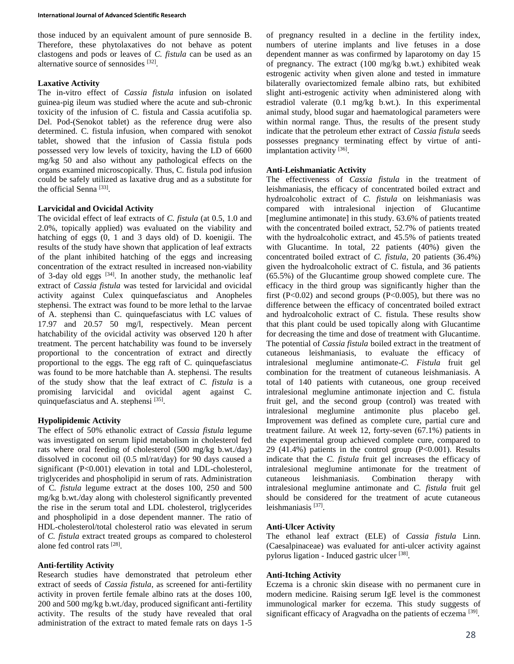those induced by an equivalent amount of pure sennoside B. Therefore, these phytolaxatives do not behave as potent clastogens and pods or leaves of *C. fistula* can be used as an alternative source of sennosides [32].

### **Laxative Activity**

The in-vitro effect of *Cassia fistula* infusion on isolated guinea-pig ileum was studied where the acute and sub-chronic toxicity of the infusion of C. fistula and Cassia acutifolia sp. Del. Pod-(Senokot tablet) as the reference drug were also determined. C. fistula infusion, when compared with senokot tablet, showed that the infusion of Cassia fistula pods possessed very low levels of toxicity, having the LD of 6600 mg/kg 50 and also without any pathological effects on the organs examined microscopically. Thus, C. fistula pod infusion could be safely utilized as laxative drug and as a substitute for the official Senna<sup>[33]</sup>.

## **Larvicidal and Ovicidal Activity**

The ovicidal effect of leaf extracts of *C. fistula* (at 0.5, 1.0 and 2.0%, topically applied) was evaluated on the viability and hatching of eggs (0, 1 and 3 days old) of D. koenigii. The results of the study have shown that application of leaf extracts of the plant inhibited hatching of the eggs and increasing concentration of the extract resulted in increased non-viability of 3-day old eggs  $[34]$ . In another study, the methanolic leaf extract of *Cassia fistula* was tested for larvicidal and ovicidal activity against Culex quinquefasciatus and Anopheles stephensi. The extract was found to be more lethal to the larvae of A. stephensi than C. quinquefasciatus with LC values of 17.97 and 20.57 50 mg/l, respectively. Mean percent hatchability of the ovicidal activity was observed 120 h after treatment. The percent hatchability was found to be inversely proportional to the concentration of extract and directly proportional to the eggs. The egg raft of C. quinquefasciatus was found to be more hatchable than A. stephensi. The results of the study show that the leaf extract of *C. fistula* is a promising larvicidal and ovicidal agent against C. quinquefasciatus and A. stephensi [35].

# **Hypolipidemic Activity**

The effect of 50% ethanolic extract of *Cassia fistula* legume was investigated on serum lipid metabolism in cholesterol fed rats where oral feeding of cholesterol (500 mg/kg b.wt./day) dissolved in coconut oil (0.5 ml/rat/day) for 90 days caused a significant (P<0.001) elevation in total and LDL-cholesterol, triglycerides and phospholipid in serum of rats. Administration of C*. fistula* legume extract at the doses 100, 250 and 500 mg/kg b.wt./day along with cholesterol significantly prevented the rise in the serum total and LDL cholesterol, triglycerides and phospholipid in a dose dependent manner. The ratio of HDL-cholesterol/total cholesterol ratio was elevated in serum of *C. fistula* extract treated groups as compared to cholesterol alone fed control rats [28].

### **Anti-fertility Activity**

Research studies have demonstrated that petroleum ether extract of seeds of *Cassia fistula*, as screened for anti-fertility activity in proven fertile female albino rats at the doses 100, 200 and 500 mg/kg b.wt./day, produced significant anti-fertility activity. The results of the study have revealed that oral administration of the extract to mated female rats on days 1-5

of pregnancy resulted in a decline in the fertility index, numbers of uterine implants and live fetuses in a dose dependent manner as was confirmed by laparotomy on day 15 of pregnancy. The extract (100 mg/kg b.wt.) exhibited weak estrogenic activity when given alone and tested in immature bilaterally ovariectomized female albino rats, but exhibited slight anti-estrogenic activity when administered along with estradiol valerate (0.1 mg/kg b.wt.). In this experimental animal study, blood sugar and haematological parameters were within normal range. Thus, the results of the present study indicate that the petroleum ether extract of *Cassia fistula* seeds possesses pregnancy terminating effect by virtue of antiimplantation activity [36].

## **Anti-Leishmaniatic Activity**

The effectiveness of *Cassia fistula* in the treatment of leishmaniasis, the efficacy of concentrated boiled extract and hydroalcoholic extract of *C. fistula* on leishmaniasis was compared with intralesional injection of Glucantime [meglumine antimonate] in this study. 63.6% of patients treated with the concentrated boiled extract, 52.7% of patients treated with the hydroalcoholic extract, and 45.5% of patients treated with Glucantime. In total, 22 patients (40%) given the concentrated boiled extract of *C. fistula*, 20 patients (36.4%) given the hydroalcoholic extract of C. fistula, and 36 patients (65.5%) of the Glucantime group showed complete cure. The efficacy in the third group was significantly higher than the first (P<0.02) and second groups (P<0.005), but there was no difference between the efficacy of concentrated boiled extract and hydroalcoholic extract of C. fistula. These results show that this plant could be used topically along with Glucantime for decreasing the time and dose of treatment with Glucantime. The potential of *Cassia fistula* boiled extract in the treatment of cutaneous leishmaniasis, to evaluate the efficacy of intralesional meglumine antimonate-*C. Fistula* fruit gel combination for the treatment of cutaneous leishmaniasis. A total of 140 patients with cutaneous, one group received intralesional meglumine antimonate injection and C. fistula fruit gel, and the second group (control) was treated with intralesional meglumine antimonite plus placebo gel. Improvement was defined as complete cure, partial cure and treatment failure. At week 12, forty-seven (67.1%) patients in the experimental group achieved complete cure, compared to 29 (41.4%) patients in the control group  $(P<0.001)$ . Results indicate that the *C. fistula* fruit gel increases the efficacy of intralesional meglumine antimonate for the treatment of cutaneous leishmaniasis. Combination therapy with intralesional meglumine antimonate and *C. fistula* fruit gel should be considered for the treatment of acute cutaneous leishmaniasis<sup>[37]</sup>.

## **Anti-Ulcer Activity**

The ethanol leaf extract (ELE) of *Cassia fistula* Linn. (Caesalpinaceae) was evaluated for anti-ulcer activity against pylorus ligation - Induced gastric ulcer [38].

#### **Anti-Itching Activity**

Eczema is a chronic skin disease with no permanent cure in modern medicine. Raising serum IgE level is the commonest immunological marker for eczema. This study suggests of significant efficacy of Aragvadha on the patients of eczema [39].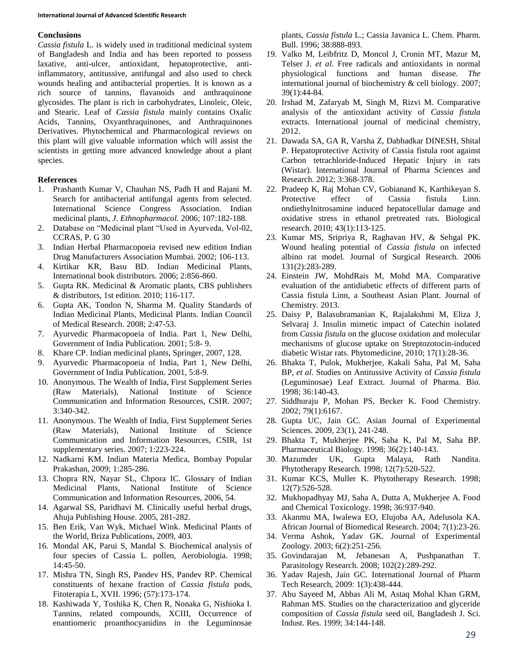### **Conclusions**

*Cassia fistula* L. is widely used in traditional medicinal system of Bangladesh and India and has been reported to possess laxative, anti-ulcer, antioxidant, hepatoprotective, antiinflammatory, antitussive, antifungal and also used to check wounds healing and antibacterial properties. It is known as a rich source of tannins, flavanoids and anthraquinone glycosides. The plant is rich in carbohydrates, Linoleic, Oleic, and Stearic. Leaf of *Cassia fistula* mainly contains Oxalic Acids, Tannins, Oxyanthraquinones, and Anthraquinones Derivatives. Phytochemical and Pharmacological reviews on this plant will give valuable information which will assist the scientists in getting more advanced knowledge about a plant species.

### **References**

- 1. Prashanth Kumar V, Chauhan NS, Padh H and Rajani M. Search for antibacterial antifungal agents from selected. International Science Congress Association. Indian medicinal plants, *J. Ethnopharmacol.* 2006; 107:182-188.
- 2. Database on "Medicinal plant "Used in Ayurveda, Vol-02, CCRAS, P. G 30
- 3. Indian Herbal Pharmacopoeia revised new edition Indian Drug Manufacturers Association Mumbai. 2002; 106-113.
- 4. Kirtikar KR, Basu BD. Indian Medicinal Plants, International book distributors. 2006; 2:856-860.
- 5. Gupta RK. Medicinal & Aromatic plants, CBS publishers & distributors, 1st edition. 2010; 116-117.
- 6. Gupta AK, Tondon N, Sharma M. Quality Standards of Indian Medicinal Plants, Medicinal Plants. Indian Council of Medical Research. 2008; 2:47-53.
- 7. Ayurvedic Pharmacopoeia of India. Part 1, New Delhi, Government of India Publication. 2001; 5:8- 9.
- 8. Khare CP. Indian medicinal plants, Springer, 2007, 128.
- 9. Ayurvedic Pharmacopoeia of India, Part 1, New Delhi, Government of India Publication. 2001, 5:8-9.
- 10. Anonymous. The Wealth of India, First Supplement Series (Raw Materials), National Institute of Science Communication and Information Resources, CSIR. 2007; 3:340-342.
- 11. Anonymous. The Wealth of India, First Supplement Series (Raw Materials), National Institute of Science Communication and Information Resources, CSIR, 1st supplementary series. 2007; 1:223-224.
- 12. Nadkarni KM. Indian Materia Medica, Bombay Popular Prakashan, 2009; 1:285-286.
- 13. Chopra RN, Nayar SL, Chpora IC. Glossary of Indian Medicinal Plants, National Institute of Science Communication and Information Resources, 2006, 54.
- 14. Agarwal SS, Paridhavi M. Clinically useful herbal drugs, Ahuja Publishing House. 2005, 281-282.
- 15. Ben Erik, Van Wyk, Michael Wink. Medicinal Plants of the World, Briza Publications, 2009, 403.
- 16. Mondal AK, Parui S, Mandal S. Biochemical analysis of four species of Cassia L. pollen, Aerobiologia. 1998; 14:45-50.
- 17. Mishra TN, Singh RS, Pandev HS, Pandev RP. Chemical constituents of hexane fraction of *Cassia fistula* pods, Fitoterapia L, XVII. 1996; (57):173-174.
- 18. Kashiwada Y, Toshika K, Chen R, Nonaka G, Nishioka I. Tannins, related compounds, XCIII, Occurrence of enantiomeric proanthocyanidins in the Leguminosae

plants, *Cassia fistula* L.; Cassia Javanica L. Chem. Pharm. Bull. 1996; 38:888-893.

- 19. Valko M, Leibfritz D, Moncol J, Cronin MT, Mazur M, Telser J. *et al.* Free radicals and antioxidants in normal physiological functions and human disease. *The*  international journal of biochemistry & cell biology. 2007; 39(1):44-84.
- 20. Irshad M, Zafaryab M, Singh M, Rizvi M. Comparative analysis of the antioxidant activity of *Cassia fistula* extracts. International journal of medicinal chemistry, 2012.
- 21. Dawada SA, GA R, Varsha Z, Dabhadkar DINESH, Shital P. Hepatoprotective Activity of Cassia fistula root against Carbon tetrachloride-Induced Hepatic Injury in rats (Wistar). International Journal of Pharma Sciences and Research. 2012; 3:368-378.
- 22. Pradeep K, Raj Mohan CV, Gobianand K, Karthikeyan S. Protective effect of Cassia fistula Linn. ondiethylnitrosamine induced hepatocellular damage and oxidative stress in ethanol pretreated rats. Biological research. 2010; 43(1):113-125.
- 23. Kumar MS, Sripriya R, Raghavan HV, & Sehgal PK. Wound healing potential of *Cassia fistula* on infected albino rat model. Journal of Surgical Research. 2006 131(2):283-289.
- 24. Einstein JW, MohdRais M, Mohd MA. Comparative evaluation of the antidiabetic effects of different parts of Cassia fistula Linn, a Southeast Asian Plant. Journal of Chemistry. 2013.
- 25. Daisy P, Balasubramanian K, Rajalakshmi M, Eliza J, Selvaraj J. Insulin mimetic impact of Catechin isolated from *Cassia fistula* on the glucose oxidation and molecular mechanisms of glucose uptake on Streptozotocin-induced diabetic Wistar rats. Phytomedicine, 2010; 17(1):28-36.
- 26. Bhakta T, Pulok, Mukherjee, Kakali Saha, Pal M, Saha BP, *et al*. Studies on Antitussive Activity of *Cassia fistula* (Leguminosae) Leaf Extract. Journal of Pharma. Bio. 1998; 36:140-43.
- 27. Siddhuraju P, Mohan PS, Becker K. Food Chemistry. 2002; 79(1):6167.
- 28. Gupta UC, Jain GC. Asian Journal of Experimental Sciences. 2009, 23(1), 241-248.
- 29. Bhakta T, Mukherjee PK, Saha K, Pal M, Saha BP. Pharmaceutical Biology. 1998; 36(2):140-143.
- 30. Mazumder UK, Gupta Malaya, Rath Nandita. Phytotherapy Research. 1998; 12(7):520-522.
- 31. Kumar KCS, Muller K. Phytotherapy Research. 1998; 12(7):526-528.
- 32. Mukhopadhyay MJ, Saha A, Dutta A, Mukherjee A. Food and Chemical Toxicology. 1998; 36:937-940.
- 33. Akanmu MA, Iwalewa EO, Elujoba AA, Adelusola KA. African Journal of Biomedical Research. 2004; 7(1):23-26.
- 34. Verma Ashok, Yadav GK. Journal of Experimental Zoology. 2003; 6(2):251-256.
- 35. Govindarajan M, Jebanesan A, Pushpanathan T. Parasitology Research. 2008; 102(2):289-292.
- 36. Yadav Rajesh, Jain GC. International Journal of Pharm Tech Research, 2009: 1(3):438-444.
- 37. Abu Sayeed M, Abbas Ali M, Astaq Mohal Khan GRM, Rahman MS. Studies on the characterization and glyceride composition of *Cassia fistula* seed oil, Bangladesh J. Sci. Indust. Res. 1999; 34:144-148.